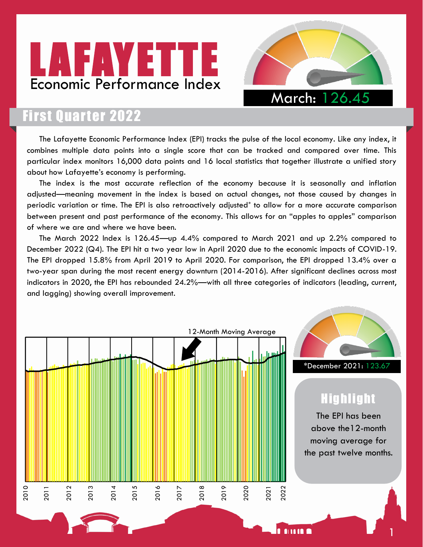



## **First Quarter 2022**

The Lafayette Economic Performance Index (EPI) tracks the pulse of the local economy. Like any index, it combines multiple data points into a single score that can be tracked and compared over time. This particular index monitors 16,000 data points and 16 local statistics that together illustrate a unified story about how Lafayette's economy is performing.

The index is the most accurate reflection of the economy because it is seasonally and inflation adjusted—meaning movement in the index is based on actual changes, not those caused by changes in periodic variation or time. The EPI is also retroactively adjusted\* to allow for a more accurate comparison between present and past performance of the economy. This allows for an "apples to apples" comparison of where we are and where we have been.

The March 2022 Index is 126.45—up 4.4% compared to March 2021 and up 2.2% compared to December 2022 (Q4). The EPI hit a two year low in April 2020 due to the economic impacts of COVID-19. The EPI dropped 15.8% from April 2019 to April 2020. For comparison, the EPI dropped 13.4% over a two-year span during the most recent energy downturn (2014-2016). After significant declines across most indicators in 2020, the EPI has rebounded 24.2%—with all three categories of indicators (leading, current, and lagging) showing overall improvement.

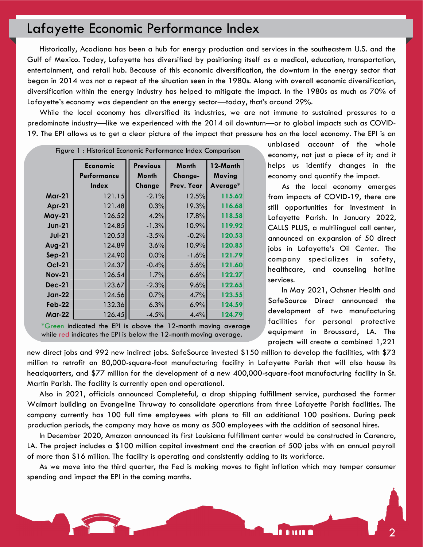Historically, Acadiana has been a hub for energy production and services in the southeastern U.S. and the Gulf of Mexico. Today, Lafayette has diversified by positioning itself as a medical, education, transportation, entertainment, and retail hub. Because of this economic diversification, the downturn in the energy sector that began in 2014 was not a repeat of the situation seen in the 1980s. Along with overall economic diversification, diversification within the energy industry has helped to mitigate the impact. In the 1980s as much as 70% of Lafayette's economy was dependent on the energy sector—today, that's around 29%.

While the local economy has diversified its industries, we are not immune to sustained pressures to a predominate industry—like we experienced with the 2014 oil downturn—or to global impacts such as COVID-19. The EPI allows us to get a clear picture of the impact that pressure has on the local economy. The EPI is an

| Figure 1: Historical Economic Performance Index Comparison |                                |                          |                  |                    |  |  |  |  |  |
|------------------------------------------------------------|--------------------------------|--------------------------|------------------|--------------------|--|--|--|--|--|
|                                                            | <b>Economic</b><br>Performance | <b>Previous</b><br>Month | Month<br>Change- | 12-Month<br>Moving |  |  |  |  |  |
|                                                            | Index                          | Change                   | Prev. Year       | Average*           |  |  |  |  |  |
| <b>Mar-21</b>                                              | 121.15                         | $-2.1%$                  | 12.5%            | 115.62             |  |  |  |  |  |
| Apr-21                                                     | 121.48                         | 0.3%                     | 19.3%            | 116.68             |  |  |  |  |  |
| May-21                                                     | 126.52                         | 4.2%                     | 17.8%            | 118.58             |  |  |  |  |  |
| <b>Jun-21</b>                                              | 124.85                         | $-1.3%$                  | 10.9%            | 119.92             |  |  |  |  |  |
| <b>Jul-21</b>                                              | 120.53                         | $-3.5%$                  | $-0.2%$          | 120.53             |  |  |  |  |  |
| <b>Aug-21</b>                                              | 124.89                         | 3.6%                     | 10.9%            | 120.85             |  |  |  |  |  |
| $Sep-21$                                                   | 124.90                         | 0.0%                     | $-1.6%$          | 121.79             |  |  |  |  |  |
| <b>Oct-21</b>                                              | 124.37                         | $-0.4%$                  | 5.6%             | 121.60             |  |  |  |  |  |
| <b>Nov-21</b>                                              | 126.54                         | 1.7%                     | 6.6%             | 122.27             |  |  |  |  |  |
| <b>Dec-21</b>                                              | 123.67                         | $-2.3%$                  | 9.6%             | 122.65             |  |  |  |  |  |
| <b>Jan-22</b>                                              | 124.56                         | 0.7%                     | 4.7%             | 123.55             |  |  |  |  |  |
| $Feb-22$                                                   | 132.36                         | 6.3%                     | 6.9%             | 124.59             |  |  |  |  |  |
| <b>Mar-22</b>                                              | 126.45                         | $-4.5%$                  | 4.4%             | 124.79             |  |  |  |  |  |

<sup>\*</sup>Green indicated the EPI is above the 12-month moving average while red indicates the EPI is below the 12-month moving average.

unbiased account of the whole economy, not just a piece of it; and it helps us identify changes in the economy and quantify the impact.

 As the local economy emerges from impacts of COVID-19, there are still opportunities for investment in Lafayette Parish. In January 2022, CALLS PLUS, a multilingual call center, announced an expansion of 50 direct jobs in Lafayette's Oil Center. The company specializes in safety, healthcare, and counseling hotline services.

 In May 2021, Ochsner Health and SafeSource Direct announced the development of two manufacturing facilities for personal protective equipment in Broussard, LA. The projects will create a combined 1,221

**AND A** 

new direct jobs and 992 new indirect jobs. SafeSource invested \$150 million to develop the facilities, with \$73 million to retrofit an 80,000-square-foot manufacturing facility in Lafayette Parish that will also house its headquarters, and \$77 million for the development of a new 400,000-square-foot manufacturing facility in St. Martin Parish. The facility is currently open and operational.

Also in 2021, officials announced Completeful, a drop shipping fulfillment service, purchased the former Walmart building on Evangeline Thruway to consolidate operations from three Lafayette Parish facilities. The company currently has 100 full time employees with plans to fill an additional 100 positions. During peak production periods, the company may have as many as 500 employees with the addition of seasonal hires.

In December 2020, Amazon announced its first Louisiana fulfillment center would be constructed in Carencro, LA. The project includes a \$100 million capital investment and the creation of 500 jobs with an annual payroll of more than \$16 million. The facility is operating and consistently adding to its workforce.

As we move into the third quarter, the Fed is making moves to fight inflation which may temper consumer spending and impact the EPI in the coming months.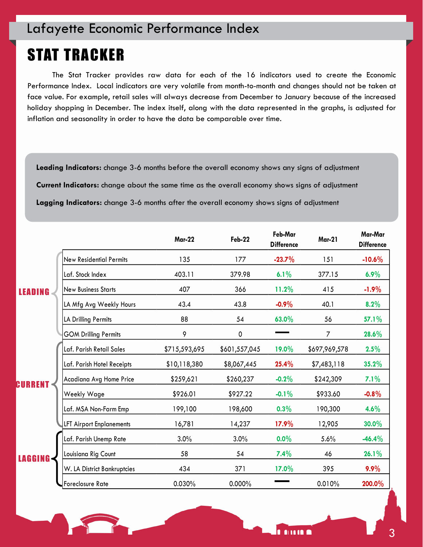# STAT TRACKER

The Stat Tracker provides raw data for each of the 16 indicators used to create the Economic Performance Index. Local indicators are very volatile from month-to-month and changes should not be taken at face value. For example, retail sales will always decrease from December to January because of the increased holiday shopping in December. The index itself, along with the data represented in the graphs, is adjusted for inflation and seasonality in order to have the data be comparable over time.

**Leading Indicators:** change 3-6 months before the overall economy shows any signs of adjustment

**Current Indicators:** change about the same time as the overall economy shows signs of adjustment

**Lagging Indicators:** change 3-6 months after the overall economy shows signs of adjustment

|        |                                | <b>Mar-22</b> | Feb-22        | Feb-Mar<br><b>Difference</b> | <b>Mar-21</b> | Mar-Mar<br><b>Difference</b> |
|--------|--------------------------------|---------------|---------------|------------------------------|---------------|------------------------------|
| EADING | <b>New Residential Permits</b> | 135           | 177           | $-23.7%$                     | 151           | $-10.6%$                     |
|        | Laf. Stock Index               | 403.11        | 379.98        | 6.1%                         | 377.15        | 6.9%                         |
|        | <b>New Business Starts</b>     | 407           | 366           | 11.2%                        | 415           | $-1.9%$                      |
|        | LA Mfg Avg Weekly Hours        | 43.4          | 43.8          | $-0.9\%$                     | 40.1          | 8.2%                         |
|        | LA Drilling Permits            | 88            | 54            | 63.0%                        | 56            | 57.1%                        |
|        | <b>GOM Drilling Permits</b>    | 9             | 0             |                              | 7             | 28.6%                        |
|        | Laf. Parish Retail Sales       | \$715,593,695 | \$601,557,045 | 19.0%                        | \$697,969,578 | 2.5%                         |
|        | Laf. Parish Hotel Receipts     | \$10,118,380  | \$8,067,445   | 25.4%                        | \$7,483,118   | 35.2%                        |
|        | Acadiana Avg Home Price        | \$259,621     | \$260,237     | $-0.2%$                      | \$242,309     | 7.1%                         |
|        | Weekly Wage                    | \$926.01      | \$927.22      | $-0.1%$                      | \$933.60      | $-0.8%$                      |
|        | Laf. MSA Non-Farm Emp          | 199,100       | 198,600       | 0.3%                         | 190,300       | 4.6%                         |
|        | LFT Airport Enplanements       | 16,781        | 14,237        | 17.9%                        | 12,905        | 30.0%                        |
|        | Laf. Parish Unemp Rate         | 3.0%          | 3.0%          | $0.0\%$                      | 5.6%          | $-46.4%$                     |
|        | Louisiana Rig Count            | 58            | 54            | 7.4%                         | 46            | 26.1%                        |
|        | W. LA District Bankruptcies    | 434           | 371           | 17.0%                        | 395           | 9.9%                         |
|        | Foreclosure Rate               | 0.030%        | 0.000%        |                              | 0.010%        | 200.0%                       |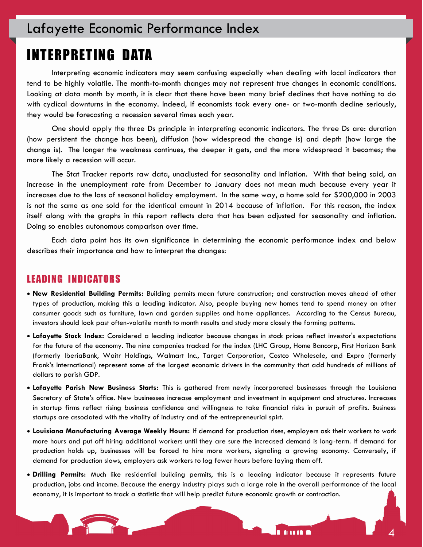### INTERPRETING DATA

Interpreting economic indicators may seem confusing especially when dealing with local indicators that tend to be highly volatile. The month-to-month changes may not represent true changes in economic conditions. Looking at data month by month, it is clear that there have been many brief declines that have nothing to do with cyclical downturns in the economy. Indeed, if economists took every one- or two-month decline seriously, they would be forecasting a recession several times each year.

One should apply the three Ds principle in interpreting economic indicators. The three Ds are: duration (how persistent the change has been), diffusion (how widespread the change is) and depth (how large the change is). The longer the weakness continues, the deeper it gets, and the more widespread it becomes; the more likely a recession will occur.

The Stat Tracker reports raw data, unadjusted for seasonality and inflation. With that being said, an increase in the unemployment rate from December to January does not mean much because every year it increases due to the loss of seasonal holiday employment. In the same way, a home sold for \$200,000 in 2003 is not the same as one sold for the identical amount in 2014 because of inflation. For this reason, the index itself along with the graphs in this report reflects data that has been adjusted for seasonality and inflation. Doing so enables autonomous comparison over time.

Each data point has its own significance in determining the economic performance index and below describes their importance and how to interpret the changes:

#### LEADING INDICATORS

- **New Residential Building Permits:** Building permits mean future construction; and construction moves ahead of other types of production, making this a leading indicator. Also, people buying new homes tend to spend money on other consumer goods such as furniture, lawn and garden supplies and home appliances. According to the Census Bureau, investors should look past often-volatile month to month results and study more closely the forming patterns.
- **Lafayette Stock Index:** Considered a leading indicator because changes in stock prices reflect investor's expectations for the future of the economy. The nine companies tracked for the index (LHC Group, Home Bancorp, First Horizon Bank (formerly IberiaBank, Waitr Holdings, Walmart Inc., Target Corporation, Costco Wholesale, and Expro (formerly Frank's International) represent some of the largest economic drivers in the community that add hundreds of millions of dollars to parish GDP.
- **Lafayette Parish New Business Starts:** This is gathered from newly incorporated businesses through the Louisiana Secretary of State's office. New businesses increase employment and investment in equipment and structures. Increases in startup firms reflect rising business confidence and willingness to take financial risks in pursuit of profits. Business startups are associated with the vitality of industry and of the entrepreneurial spirt.
- **Louisiana Manufacturing Average Weekly Hours:** If demand for production rises, employers ask their workers to work more hours and put off hiring additional workers until they are sure the increased demand is long-term. If demand for production holds up, businesses will be forced to hire more workers, signaling a growing economy. Conversely, if demand for production slows, employers ask workers to log fewer hours before laying them off.
- **Drilling Permits:** Much like residential building permits, this is a leading indicator because it represents future production, jobs and income. Because the energy industry plays such a large role in the overall performance of the local economy, it is important to track a statistic that will help predict future economic growth or contraction.

**AND** 

4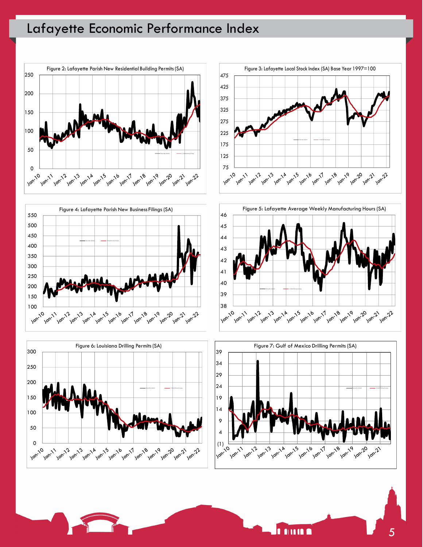

![](_page_4_Figure_2.jpeg)

![](_page_4_Figure_3.jpeg)

![](_page_4_Figure_4.jpeg)

![](_page_4_Figure_5.jpeg)

![](_page_4_Figure_6.jpeg)

**ALLIE O** 

n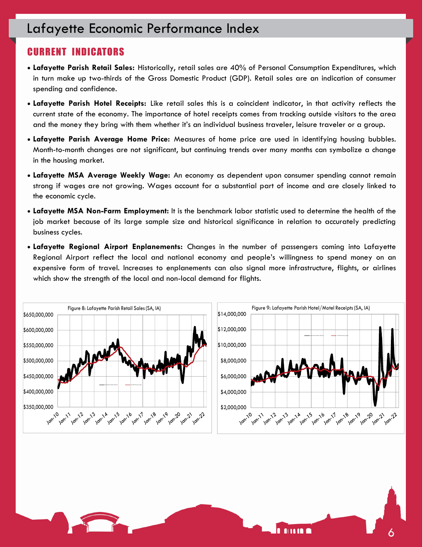# Lafayette Economic Performance Index Lafayette Economic Performance Index

#### CURRENT INDICATORS

- **Lafayette Parish Retail Sales:** Historically, retail sales are 40% of Personal Consumption Expenditures, which in turn make up two-thirds of the Gross Domestic Product (GDP). Retail sales are an indication of consumer spending and confidence.
- **Lafayette Parish Hotel Receipts:** Like retail sales this is a coincident indicator, in that activity reflects the current state of the economy. The importance of hotel receipts comes from tracking outside visitors to the area and the money they bring with them whether it's an individual business traveler, leisure traveler or a group.
- **Lafayette Parish Average Home Price:** Measures of home price are used in identifying housing bubbles. Month-to-month changes are not significant, but continuing trends over many months can symbolize a change in the housing market.
- **Lafayette MSA Average Weekly Wage:** An economy as dependent upon consumer spending cannot remain strong if wages are not growing. Wages account for a substantial part of income and are closely linked to the economic cycle.
- **Lafayette MSA Non-Farm Employment:** It is the benchmark labor statistic used to determine the health of the job market because of its large sample size and historical significance in relation to accurately predicting business cycles.
- **Lafayette Regional Airport Enplanements:** Changes in the number of passengers coming into Lafayette Regional Airport reflect the local and national economy and people's willingness to spend money on an expensive form of travel. Increases to enplanements can also signal more infrastructure, flights, or airlines which show the strength of the local and non-local demand for flights.

![](_page_5_Figure_8.jpeg)

6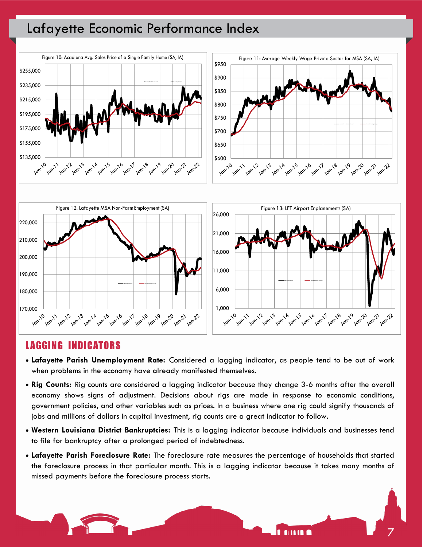![](_page_6_Figure_1.jpeg)

![](_page_6_Figure_2.jpeg)

#### LAGGING INDICATORS

- **Lafayette Parish Unemployment Rate:** Considered a lagging indicator, as people tend to be out of work when problems in the economy have already manifested themselves.
- **Rig Counts:** Rig counts are considered a lagging indicator because they change 3-6 months after the overall economy shows signs of adjustment. Decisions about rigs are made in response to economic conditions, government policies, and other variables such as prices. In a business where one rig could signify thousands of jobs and millions of dollars in capital investment, rig counts are a great indicator to follow.
- **Western Louisiana District Bankruptcies:** This is a lagging indicator because individuals and businesses tend to file for bankruptcy after a prolonged period of indebtedness.
- **Lafayette Parish Foreclosure Rate:** The foreclosure rate measures the percentage of households that started the foreclosure process in that particular month. This is a lagging indicator because it takes many months of missed payments before the foreclosure process starts.

![](_page_6_Figure_8.jpeg)